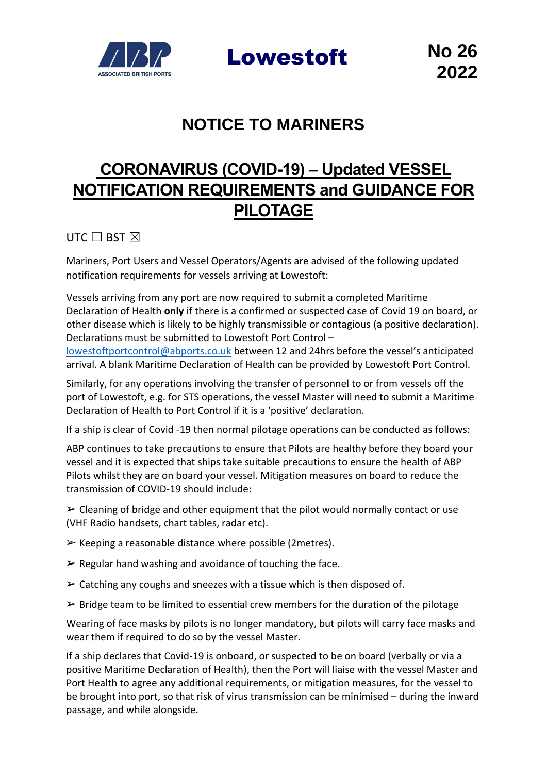

Lowestoft **No 26**

## **NOTICE TO MARINERS**

## **CORONAVIRUS (COVID-19) – Updated VESSEL NOTIFICATION REQUIREMENTS and GUIDANCE FOR PILOTAGE**

UTC  $\Box$  BST  $\boxtimes$ 

Mariners, Port Users and Vessel Operators/Agents are advised of the following updated notification requirements for vessels arriving at Lowestoft:

Vessels arriving from any port are now required to submit a completed Maritime Declaration of Health **only** if there is a confirmed or suspected case of Covid 19 on board, or other disease which is likely to be highly transmissible or contagious (a positive declaration). Declarations must be submitted to Lowestoft Port Control –

[lowestoftportcontrol@abports.co.uk](mailto:lowestoftportcontrol@abports.co.uk) between 12 and 24hrs before the vessel's anticipated arrival. A blank Maritime Declaration of Health can be provided by Lowestoft Port Control.

Similarly, for any operations involving the transfer of personnel to or from vessels off the port of Lowestoft, e.g. for STS operations, the vessel Master will need to submit a Maritime Declaration of Health to Port Control if it is a 'positive' declaration.

If a ship is clear of Covid -19 then normal pilotage operations can be conducted as follows:

ABP continues to take precautions to ensure that Pilots are healthy before they board your vessel and it is expected that ships take suitable precautions to ensure the health of ABP Pilots whilst they are on board your vessel. Mitigation measures on board to reduce the transmission of COVID-19 should include:

 $\triangleright$  Cleaning of bridge and other equipment that the pilot would normally contact or use (VHF Radio handsets, chart tables, radar etc).

- $\triangleright$  Keeping a reasonable distance where possible (2metres).
- $\triangleright$  Regular hand washing and avoidance of touching the face.
- $\triangleright$  Catching any coughs and sneezes with a tissue which is then disposed of.
- $\triangleright$  Bridge team to be limited to essential crew members for the duration of the pilotage

Wearing of face masks by pilots is no longer mandatory, but pilots will carry face masks and wear them if required to do so by the vessel Master.

If a ship declares that Covid-19 is onboard, or suspected to be on board (verbally or via a positive Maritime Declaration of Health), then the Port will liaise with the vessel Master and Port Health to agree any additional requirements, or mitigation measures, for the vessel to be brought into port, so that risk of virus transmission can be minimised – during the inward passage, and while alongside.